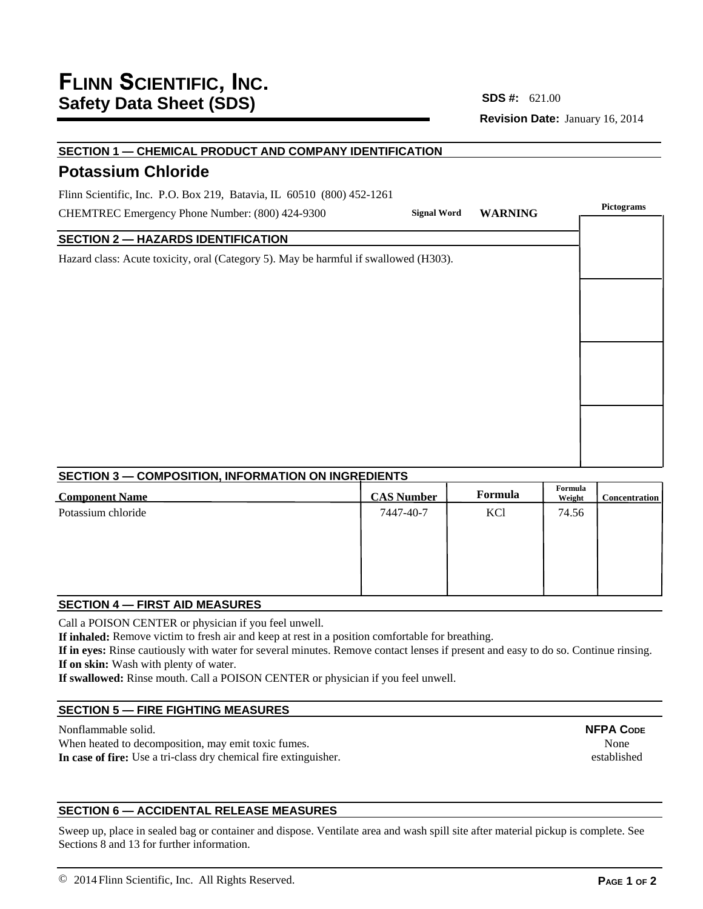# **Revision Date:** January 16, 2014 **SDS #:**

## **SECTION 1 — CHEMICAL PRODUCT AND COMPANY IDENTIFICATION**

# **Potassium Chloride**

Flinn Scientific, Inc. P.O. Box 219, Batavia, IL 60510 (800) 452-1261

CHEMTREC Emergency Phone Number: (800) 424-9300

### **SECTION 2 — HAZARDS IDENTIFICATION**

Hazard class: Acute toxicity, oral (Category 5). May be harmful if swallowed (H303).

|          | Signal Word WARNING | Pictograms |
|----------|---------------------|------------|
|          |                     |            |
| d(H303). |                     |            |
|          |                     |            |
|          |                     |            |
|          |                     |            |
|          |                     |            |
|          |                     |            |
|          |                     |            |
|          |                     |            |
|          |                     |            |

### **SECTION 3 — COMPOSITION, INFORMATION ON INGREDIENTS**

| <b>Component Name</b> | <b>CAS Number</b> | Formula | Formula<br>Weight | <b>Concentration</b> |
|-----------------------|-------------------|---------|-------------------|----------------------|
| Potassium chloride    | 7447-40-7         | KCl     | 74.56             |                      |

### **SECTION 4 — FIRST AID MEASURES**

Call a POISON CENTER or physician if you feel unwell.

**If inhaled:** Remove victim to fresh air and keep at rest in a position comfortable for breathing.

**If in eyes:** Rinse cautiously with water for several minutes. Remove contact lenses if present and easy to do so. Continue rinsing. **If on skin:** Wash with plenty of water.

**If swallowed:** Rinse mouth. Call a POISON CENTER or physician if you feel unwell.

### **SECTION 5 — FIRE FIGHTING MEASURES**

Nonflammable solid. When heated to decomposition, may emit toxic fumes. **In case of fire:** Use a tri-class dry chemical fire extinguisher. **NFPA CODE** None established

## **SECTION 6 — ACCIDENTAL RELEASE MEASURES**

Sweep up, place in sealed bag or container and dispose. Ventilate area and wash spill site after material pickup is complete. See Sections 8 and 13 for further information.